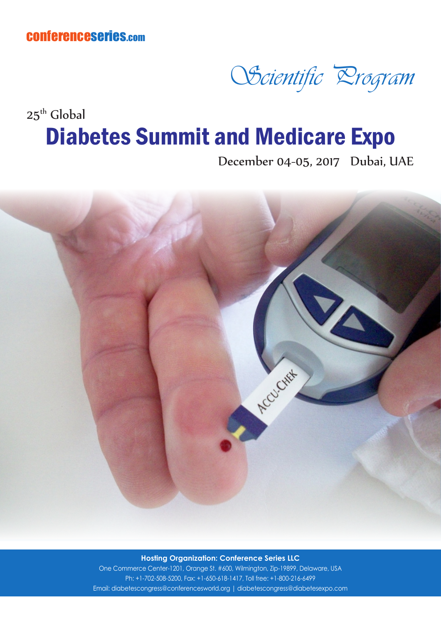conferenceseries.com



## $25<sup>th</sup>$  Global Diabetes Summit and Medicare Expo

December 04-05, 2017 Dubai, UAE



**Hosting Organization: Conference Series LLC**

One Commerce Center-1201, Orange St. #600, Wilmington, Zip-19899, Delaware, USA Ph: +1-702-508-5200, Fax: +1-650-618-1417, Toll free: +1-800-216-6499 Email: diabetescongress@conferencesworld.org | diabetescongress@diabetesexpo.com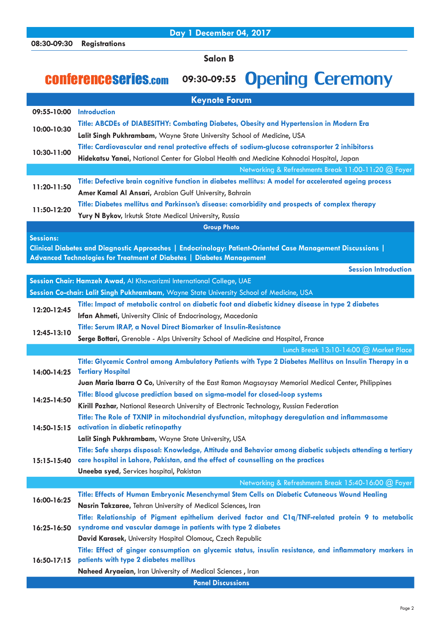**Day 1 December 04, 2017**

**Salon B**

## conferenceseries.com **09:30-09:55** Opening Ceremony

|                    | <b>Keynote Forum</b>                                                                                                                                                                            |  |
|--------------------|-------------------------------------------------------------------------------------------------------------------------------------------------------------------------------------------------|--|
| 09:55-10:00        | <b>Introduction</b>                                                                                                                                                                             |  |
| 10:00-10:30        | Title: ABCDEs of DIABESITHY: Combating Diabetes, Obesity and Hypertension in Modern Era                                                                                                         |  |
|                    | Lalit Singh Pukhrambam, Wayne State University School of Medicine, USA                                                                                                                          |  |
| 10:30-11:00        | Title: Cardiovascular and renal protective effects of sodium-glucose cotransporter 2 inhibitorss                                                                                                |  |
|                    | Hidekatsu Yanai, National Center for Global Health and Medicine Kohnodai Hospital, Japan                                                                                                        |  |
|                    | Networking & Refreshments Break 11:00-11:20 @ Foyer                                                                                                                                             |  |
| 11:20-11:50        | Title: Defective brain cognitive function in diabetes mellitus: A model for accelerated ageing process                                                                                          |  |
|                    | Amer Kamal Al Ansari, Arabian Gulf University, Bahrain                                                                                                                                          |  |
|                    | Title: Diabetes mellitus and Parkinson's disease: comorbidity and prospects of complex therapy                                                                                                  |  |
| 11:50-12:20        | Yury N Bykov, Irkutsk State Medical University, Russia                                                                                                                                          |  |
| <b>Group Photo</b> |                                                                                                                                                                                                 |  |
| <b>Sessions:</b>   |                                                                                                                                                                                                 |  |
|                    | Clinical Diabetes and Diagnostic Approaches   Endocrinology: Patient-Oriented Case Management Discussions                                                                                       |  |
|                    | Advanced Technologies for Treatment of Diabetes   Diabetes Management                                                                                                                           |  |
|                    | <b>Session Introduction</b>                                                                                                                                                                     |  |
|                    | Session Chair: Hamzeh Awad, Al Khawarizmi International College, UAE                                                                                                                            |  |
|                    | Session Co-chair: Lalit Singh Pukhrambam, Wayne State University School of Medicine, USA                                                                                                        |  |
| 12:20-12:45        | Title: Impact of metabolic control on diabetic foot and diabetic kidney disease in type 2 diabetes                                                                                              |  |
|                    | Irfan Ahmeti, University Clinic of Endocrinology, Macedonia                                                                                                                                     |  |
| 12:45-13:10        | Title: Serum IRAP, a Novel Direct Biomarker of Insulin-Resistance                                                                                                                               |  |
|                    | Serge Bottari, Grenoble - Alps University School of Medicine and Hospital, France                                                                                                               |  |
|                    | Lunch Break $13:10-14:00$ ( $@$ Market Place                                                                                                                                                    |  |
| 14:00-14:25        | Title: Glycemic Control among Ambulatory Patients with Type 2 Diabetes Mellitus on Insulin Therapy in a                                                                                         |  |
|                    | <b>Tertiary Hospital</b>                                                                                                                                                                        |  |
|                    | Juan Maria Ibarra O Co, University of the East Ramon Magsaysay Memorial Medical Center, Philippines                                                                                             |  |
| 14:25-14:50        | Title: Blood glucose prediction based on sigma-model for closed-loop systems                                                                                                                    |  |
|                    | Kirill Pozhar, National Research University of Electronic Technology, Russian Federation                                                                                                        |  |
|                    | Title: The Role of TXNIP in mitochondrial dysfunction, mitophagy deregulation and inflammasome                                                                                                  |  |
|                    | 14:50-15:15 activation in diabetic retinopathy                                                                                                                                                  |  |
|                    | Lalit Singh Pukhrambam, Wayne State University, USA                                                                                                                                             |  |
| $15:15-15:40$      | Title: Safe sharps disposal: Knowledge, Attitude and Behavior among diabetic subjects attending a tertiary<br>care hospital in Lahore, Pakistan, and the effect of counselling on the practices |  |
|                    | Uneeba syed, Services hospital, Pakistan                                                                                                                                                        |  |
|                    | Networking & Refreshments Break 15:40-16:00 @ Foyer                                                                                                                                             |  |
|                    | Title: Effects of Human Embryonic Mesenchymal Stem Cells on Diabetic Cutaneous Wound Healing                                                                                                    |  |
| 16:00-16:25        | Nasrin Takzaree, Tehran University of Medical Sciences, Iran                                                                                                                                    |  |
|                    |                                                                                                                                                                                                 |  |
| $16:25 - 16:50$    | Title: Relationship of Pigment epithelium derived factor and C1q/TNF-related protein 9 to metabolic<br>syndrome and vascular damage in patients with type 2 diabetes                            |  |
|                    | David Karasek, University Hospital Olomouc, Czech Republic                                                                                                                                      |  |
|                    | Title: Effect of ginger consumption on glycemic status, insulin resistance, and inflammatory markers in                                                                                         |  |
| $16:50-17:15$      | patients with type 2 diabetes mellitus                                                                                                                                                          |  |
|                    | Naheed Aryaeian, Iran University of Medical Sciences, Iran                                                                                                                                      |  |
|                    | <b>Panel Discussions</b>                                                                                                                                                                        |  |